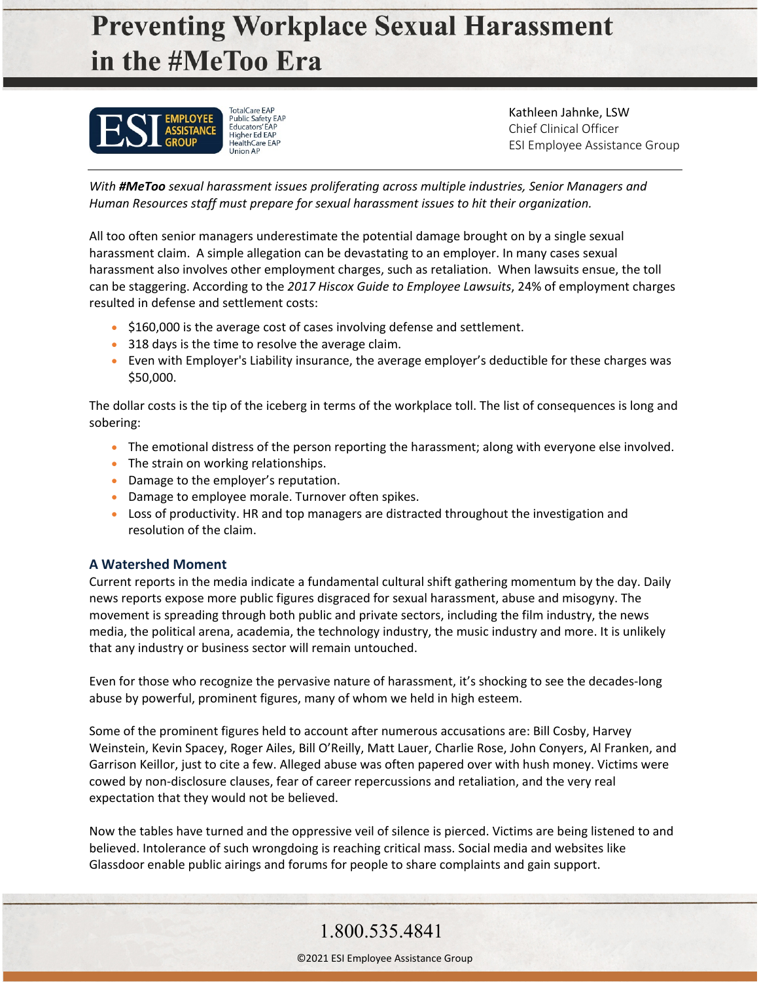# **Preventing Workplace Sexual Harassment** in the #MeToo Era



TotalCare EAP<br>Public Safety EAP **Educators' EAP** Higher Ed EAP

Kathleen Jahnke, LSW Chief Clinical Officer ESI Employee Assistance Group

*With #MeToo sexual harassment issues proliferating across multiple industries, Senior Managers and Human Resources staff must prepare for sexual harassment issues to hit their organization.*

All too often senior managers underestimate the potential damage brought on by a single sexual harassment claim. A simple allegation can be devastating to an employer. In many cases sexual harassment also involves other employment charges, such as retaliation. When lawsuits ensue, the toll can be staggering. According to the *2017 Hiscox Guide to Employee Lawsuits*, 24% of employment charges resulted in defense and settlement costs:

- \$160,000 is the average cost of cases involving defense and settlement.
- 318 days is the time to resolve the average claim.
- Even with Employer's Liability insurance, the average employer's deductible for these charges was \$50,000.

The dollar costs is the tip of the iceberg in terms of the workplace toll. The list of consequences is long and sobering:

- The emotional distress of the person reporting the harassment; along with everyone else involved.
- The strain on working relationships.
- Damage to the employer's reputation.
- Damage to employee morale. Turnover often spikes.
- Loss of productivity. HR and top managers are distracted throughout the investigation and resolution of the claim.

#### **A Watershed Moment**

Current reports in the media indicate a fundamental cultural shift gathering momentum by the day. Daily news reports expose more public figures disgraced for sexual harassment, abuse and misogyny. The movement is spreading through both public and private sectors, including the film industry, the news media, the political arena, academia, the technology industry, the music industry and more. It is unlikely that any industry or business sector will remain untouched.

Even for those who recognize the pervasive nature of harassment, it's shocking to see the decades-long abuse by powerful, prominent figures, many of whom we held in high esteem.

Some of the prominent figures held to account after numerous accusations are: Bill Cosby, Harvey Weinstein, Kevin Spacey, Roger Ailes, Bill O'Reilly, Matt Lauer, Charlie Rose, John Conyers, Al Franken, and Garrison Keillor, just to cite a few. Alleged abuse was often papered over with hush money. Victims were cowed by non-disclosure clauses, fear of career repercussions and retaliation, and the very real expectation that they would not be believed.

Now the tables have turned and the oppressive veil of silence is pierced. Victims are being listened to and believed. Intolerance of such wrongdoing is reaching critical mass. Social media and websites like Glassdoor enable public airings and forums for people to share complaints and gain support.

### 1.800.535.4841

©2021 ESI Employee Assistance Group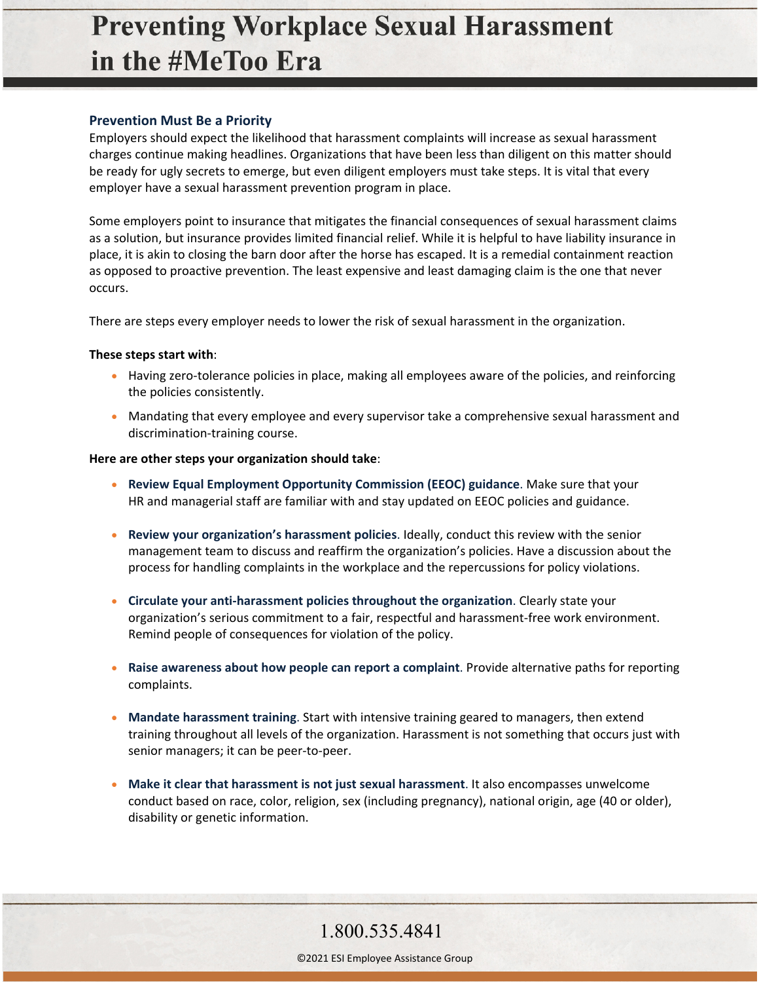## **Preventing Workplace Sexual Harassment** in the #MeToo Era

#### **Prevention Must Be a Priority**

Employers should expect the likelihood that harassment complaints will increase as sexual harassment charges continue making headlines. Organizations that have been less than diligent on this matter should be ready for ugly secrets to emerge, but even diligent employers must take steps. It is vital that every employer have a sexual harassment prevention program in place.

Some employers point to insurance that mitigates the financial consequences of sexual harassment claims as a solution, but insurance provides limited financial relief. While it is helpful to have liability insurance in place, it is akin to closing the barn door after the horse has escaped. It is a remedial containment reaction as opposed to proactive prevention. The least expensive and least damaging claim is the one that never occurs.

There are steps every employer needs to lower the risk of sexual harassment in the organization.

#### **These steps start with**:

- Having zero-tolerance policies in place, making all employees aware of the policies, and reinforcing the policies consistently.
- Mandating that every employee and every supervisor take a comprehensive sexual harassment and discrimination-training course.

#### **Here are other steps your organization should take**:

- **Review Equal Employment Opportunity Commission (EEOC) guidance**. Make sure that your HR and managerial staff are familiar with and stay updated on EEOC policies and guidance.
- **Review your organization's harassment policies**. Ideally, conduct this review with the senior management team to discuss and reaffirm the organization's policies. Have a discussion about the process for handling complaints in the workplace and the repercussions for policy violations.
- **Circulate your anti-harassment policies throughout the organization**. Clearly state your organization's serious commitment to a fair, respectful and harassment-free work environment. Remind people of consequences for violation of the policy.
- **Raise awareness about how people can report a complaint**. Provide alternative paths for reporting complaints.
- **Mandate harassment training**. Start with intensive training geared to managers, then extend training throughout all levels of the organization. Harassment is not something that occurs just with senior managers; it can be peer-to-peer.
- **Make it clear that harassment is not just sexual harassment**. It also encompasses unwelcome conduct based on race, color, religion, sex (including pregnancy), national origin, age (40 or older), disability or genetic information.

1.800.535.4841

©2021 ESI Employee Assistance Group